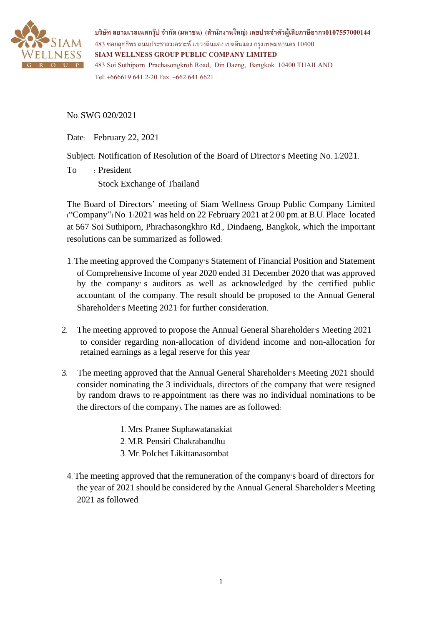

**บริษทั สยามเวลเนสกรุ๊ป จ ากัด (มหาชน) (ส านักงานใหญ่) เลขประจ าตัวผู้เสียภาษีอากร0107557000144**  $483$  ซอยสุทธิพร ถนนประชาสงเคราะห์ แขวงดินแดง เขตดินแดง กรุงเทพมหานคร  $10400$ **SIAM WELLNESS GROUP PUBLIC COMPANY LIMITED** 483 Soi Suthiporn Prachasongkroh Road, Din Daeng, Bangkok 10400 THAILAND Tel: +666619 6412-20 Fax: +662 641 6621

No. SWG 020/2021

Date: February 22, 2021

Subject: Notification of Resolution of the Board of Director's Meeting No. 1/2021.

To : President

Stock Exchange of Thailand

The Board of Directors' meeting of Siam Wellness Group Public Company Limited ("Company") No. 1/2021 was held on 22 February 2021 at 2:00 pm. at B.U. Place located at 567 Soi Suthiporn, Phrachasongkhro Rd., Dindaeng, Bangkok, which the important resolutions can be summarized as followed:

- 1. The meeting approved the Company's Statement of Financial Position and Statement of Comprehensive Income of year 2020 ended 31 December 2020 that was approved by the company' s auditors as well as acknowledged by the certified public accountant of the company. The result should be proposed to the Annual General Shareholder's Meeting 2021 for further consideration.
- 2. The meeting approved to propose the Annual General Shareholder's Meeting 2021 to consider regarding non-allocation of dividend income and non-allocation for retained earnings as a legal reserve for this year
- 3. The meeting approved that the Annual General Shareholder's Meeting 2021 should consider nominating the 3 individuals, directors of the company that were resigned by random draws to re-appointment (as there was no individual nominations to be the directors of the company). The names are as followed:
	- 1. Mrs. Pranee Suphawatanakiat
	- 2. M.R. Pensiri Chakrabandhu
	- 3. Mr. Polchet Likittanasombat
	- 4. The meeting approved that the remuneration of the company's board of directors for the year of 2021 should be considered by the Annual General Shareholder's Meeting 2021 as followed: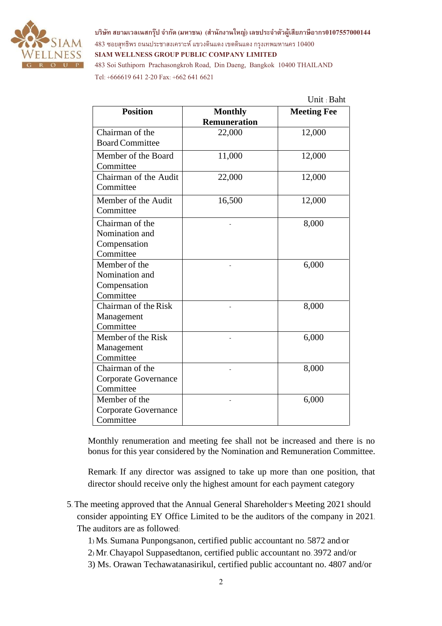

**บริษทั สยามเวลเนสกรุ๊ป จ ากัด (มหาชน) (ส านักงานใหญ่) เลขประจ าตัวผู้เสียภาษีอากร0107557000144**  $483$  ซอยสุทธิพร ถนนประชาสงเคราะห์ แขวงดินแดง เขตดินแดง กรุงเทพมหานคร  $10400$ **SIAM WELLNESS GROUP PUBLIC COMPANY LIMITED** 483 Soi Suthiporn Prachasongkroh Road, Din Daeng, Bangkok 10400 THAILAND

Tel: +666619 6412-20 Fax: +662 641 6621

| <b>Position</b>                                                | <b>Monthly</b><br><b>Remuneration</b> | <b>Meeting Fee</b> |
|----------------------------------------------------------------|---------------------------------------|--------------------|
| Chairman of the                                                | 22,000                                | 12,000             |
| <b>Board Committee</b>                                         |                                       |                    |
| Member of the Board<br>Committee                               | 11,000                                | 12,000             |
| Chairman of the Audit<br>Committee                             | 22,000                                | 12,000             |
| Member of the Audit<br>Committee                               | 16,500                                | 12,000             |
| Chairman of the<br>Nomination and<br>Compensation<br>Committee |                                       | 8,000              |
| Member of the<br>Nomination and<br>Compensation<br>Committee   |                                       | 6,000              |
| Chairman of the Risk<br>Management<br>Committee                |                                       | 8,000              |
| Member of the Risk<br>Management<br>Committee                  |                                       | 6,000              |
| Chairman of the<br><b>Corporate Governance</b><br>Committee    |                                       | 8,000              |
| Member of the<br>Corporate Governance<br>Committee             |                                       | 6,000              |

Monthly renumeration and meeting fee shall not be increased and there is no bonus for this year considered by the Nomination and Remuneration Committee.

Remark: If any director was assigned to take up more than one position, that director should receive only the highest amount for each payment category

- 5. The meeting approved that the Annual General Shareholder's Meeting 2021 should consider appointing EY Office Limited to be the auditors of the company in 2021. The auditors are as followed:
	- 1) Ms. Sumana Punpongsanon, certified public accountant no. 5872 and/or
	- 2) Mr. Chayapol Suppasedtanon, certified public accountant no. 3972 and/or
	- 3) Ms. Orawan Techawatanasirikul, certified public accountant no. 4807 and/or